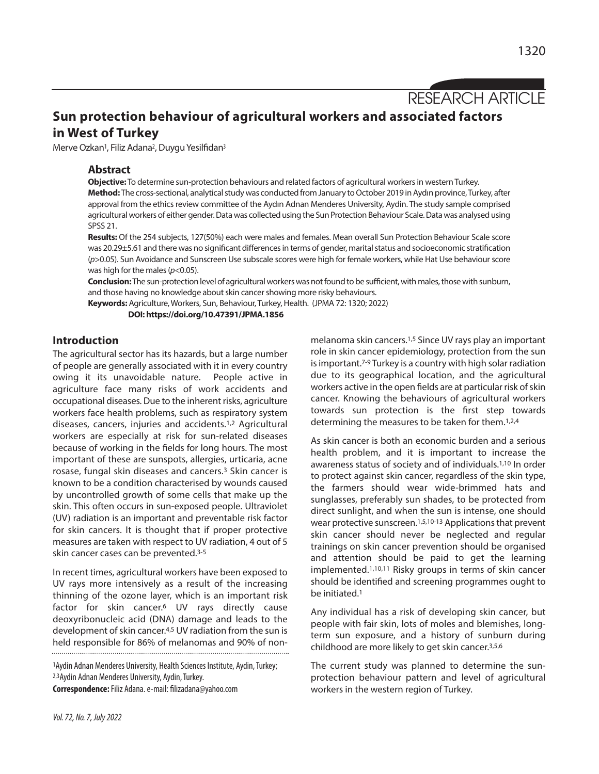RESEARCH ARTICLE

# **Sun protection behaviour of agricultural workers and associated factors in West of Turkey**

Merve Ozkan<sup>1</sup>, Filiz Adana<sup>2</sup>, Duygu Yesilfidan<sup>3</sup>

## **Abstract**

**Objective:** To determine sun-protection behaviours and related factors of agricultural workers in western Turkey. Method: The cross-sectional, analytical study was conducted from January to October 2019 in Aydın province, Turkey, after approval from the ethics review committee of the Aydın Adnan Menderes University, Aydin. The study sample comprised agricultural workers of either gender. Data was collected using the Sun Protection Behaviour Scale. Data was analysed using SPSS 21.

**Results:** Of the 254 subjects, 127(50%) each were males and females. Mean overall Sun Protection Behaviour Scale score was 20.29±5.61 and there was no significant differences in terms of gender, marital status and socioeconomic stratification (*p*>0.05). Sun Avoidance and Sunscreen Use subscale scores were high for female workers, while Hat Use behaviourscore was high for the males(*p*<0.05).

**Conclusion:** The sun-protection level of agricultural workers was not found to be sufficient, with males, those with sunburn, and those having no knowledge about skin cancer showing more risky behaviours.

**Keywords:** Agriculture,Workers, Sun, Behaviour, Turkey, Health. (JPMA 72: 1320; 2022)

**DOI: https://doi.org/10.47391/JPMA.1856**

## **Introduction**

The agricultural sector has its hazards, but a large number of people are generally associated with it in every country owing it its unavoidable nature. People active in agriculture face many risks of work accidents and occupational diseases. Due to the inherent risks, agriculture workers face health problems, such as respiratory system diseases, cancers, injuries and accidents.1,2 Agricultural workers are especially at risk for sun-related diseases because of working in the fields for long hours. The most important of these are sunspots, allergies, urticaria, acne rosase, fungal skin diseases and cancers.3 Skin cancer is known to be a condition characterised by wounds caused by uncontrolled growth of some cells that make up the skin. This often occurs in sun-exposed people. Ultraviolet (UV) radiation is an important and preventable risk factor for skin cancers. It is thought that if proper protective measures are taken with respect to UV radiation, 4 out of 5 skin cancer cases can be prevented. 3-5

In recent times, agricultural workers have been exposed to UV rays more intensively as a result of the increasing thinning of the ozone layer, which is an important risk factor for skin cancer.6 UV rays directly cause deoxyribonucleic acid (DNA) damage and leads to the development of skin cancer.<sup>4,5</sup> UV radiation from the sun is held responsible for 86% of melanomas and 90% of non-

1Aydin Adnan Menderes University, Health Sciences Institute, Aydin, Turkey; 2,3 Aydin Adnan Menderes University, Aydin, Turkey.

**Correspondence:**Filiz Adana.e-mail: filizadana@yahoo.com

melanoma skin cancers. 1,5 Since UV rays play an important role in skin cancer epidemiology, protection from the sun is important.<sup>7-9</sup> Turkey is a country with high solar radiation due to its geographical location, and the agricultural workers active in the open fields are at particular risk of skin cancer. Knowing the behaviours of agricultural workers towards sun protection is the first step towards determining the measures to be taken for them.<sup>1,2,4</sup>

As skin cancer is both an economic burden and a serious health problem, and it is important to increase the awareness status of society and of individuals. 1,10 In order to protect against skin cancer, regardless of the skin type, the farmers should wear wide-brimmed hats and sunglasses, preferably sun shades, to be protected from direct sunlight, and when the sun is intense, one should wear protective sunscreen.<sup>1,5,10-13</sup> Applications that prevent skin cancer should never be neglected and regular trainings on skin cancer prevention should be organised and attention should be paid to get the learning implemented.1,10,11 Risky groups in terms of skin cancer should be identified and screening programmes ought to be initiated. 1

Any individual has a risk of developing skin cancer, but people with fair skin, lots of moles and blemishes, longterm sun exposure, and a history of sunburn during childhood are more likely to get skin cancer. 3,5,6

The current study was planned to determine the sunprotection behaviour pattern and level of agricultural workers in the western region of Turkey.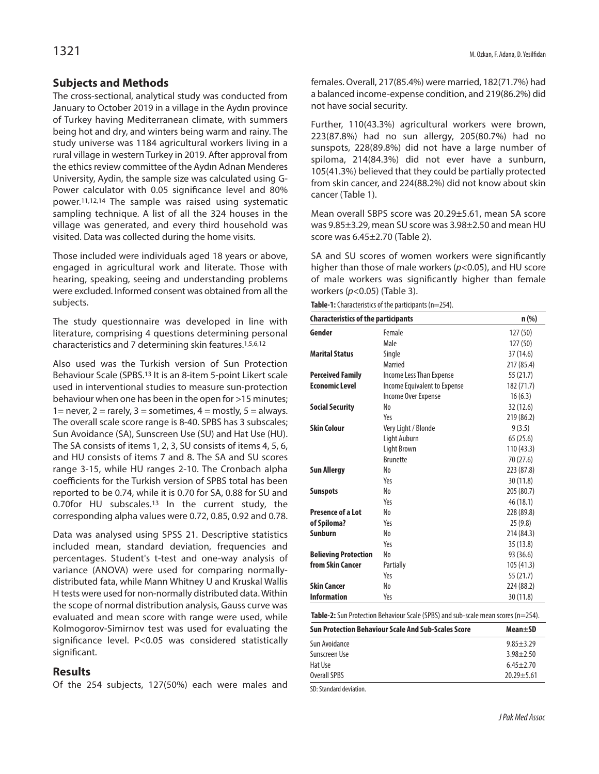## **Subjects and Methods**

The cross-sectional, analytical study was conducted from January to October 2019 in a village in the Aydın province of Turkey having Mediterranean climate, with summers being hot and dry, and winters being warm and rainy. The study universe was 1184 agricultural workers living in a rural village in western Turkey in 2019. After approval from the ethics review committee of the Aydın Adnan Menderes University, Aydin, the sample size was calculated using G-Power calculator with 0.05 significance level and 80% power.11,12,14 The sample was raised using systematic sampling technique. A list of all the 324 houses in the village was generated, and every third household was visited. Data was collected during the home visits.

Those included were individuals aged 18 years or above, engaged in agricultural work and literate. Those with hearing, speaking, seeing and understanding problems were excluded. Informed consent was obtained from all the subjects.

The study questionnaire was developed in line with literature, comprising 4 questions determining personal characteristics and 7 determining skin features. 1,5,6,12

Also used was the Turkish version of Sun Protection Behaviour Scale (SPBS. <sup>13</sup> It is an 8-item 5-point Likert scale used in interventional studies to measure sun-protection behaviour when one has been in the open for >15 minutes; 1 = never, 2 = rarely, 3 = sometimes, 4 = mostly, 5 = always. The overall scale score range is 8-40. SPBS has 3 subscales; Sun Avoidance (SA), Sunscreen Use (SU) and Hat Use (HU). The SA consists of items 1, 2, 3, SU consists of items 4, 5, 6, and HU consists of items 7 and 8. The SA and SU scores range 3-15, while HU ranges 2-10. The Cronbach alpha coefficients for the Turkish version of SPBS total has been reported to be 0.74, while it is 0.70 for SA, 0.88 for SU and 0.70for HU subscales.13 In the current study, the corresponding alpha values were 0.72, 0.85, 0.92 and 0.78.

Data was analysed using SPSS 21. Descriptive statistics included mean, standard deviation, frequencies and percentages. Student's t-test and one-way analysis of variance (ANOVA) were used for comparing normallydistributed fata, while Mann Whitney U and Kruskal Wallis H tests were used for non-normally distributed data.Within the scope of normal distribution analysis, Gauss curve was evaluated and mean score with range were used, while Kolmogorov-Simirnov test was used for evaluating the significance level. P<0.05 was considered statistically significant.

## **Results**

Of the 254 subjects, 127(50%) each were males and

females. Overall, 217(85.4%) were married, 182(71.7%) had a balanced income-expense condition, and 219(86.2%) did not have social security.

Further, 110(43.3%) agricultural workers were brown, 223(87.8%) had no sun allergy, 205(80.7%) had no sunspots, 228(89.8%) did not have a large number of spiloma, 214(84.3%) did not ever have a sunburn, 105(41.3%) believed that they could be partially protected from skin cancer, and 224(88.2%) did not know about skin cancer (Table 1).

Mean overall SBPS score was 20.29±5.61, mean SA score was 9.85±3.29, mean SU score was 3.98±2.50 and mean HU score was 6.45±2.70 (Table 2).

SA and SU scores of women workers were significantly higher than those of male workers (*p*<0.05), and HU score of male workers was significantly higher than female workers (*p*<0.05) (Table 3).

| <b>Characteristics of the participants</b> | $n$ (%)                      |            |  |
|--------------------------------------------|------------------------------|------------|--|
| Gender                                     | Female                       | 127 (50)   |  |
|                                            | Male                         | 127(50)    |  |
| <b>Marital Status</b>                      | Single                       | 37 (14.6)  |  |
|                                            | Married                      | 217 (85.4) |  |
| <b>Perceived Family</b>                    | Income Less Than Expense     | 55 (21.7)  |  |
| <b>Economic Level</b>                      | Income Equivalent to Expense | 182 (71.7) |  |
|                                            | Income Over Expense          | 16(6.3)    |  |
| <b>Social Security</b>                     | No                           | 32 (12.6)  |  |
|                                            | Yes                          | 219 (86.2) |  |
| <b>Skin Colour</b>                         | Very Light / Blonde          | 9(3.5)     |  |
|                                            | Light Auburn                 | 65(25.6)   |  |
|                                            | Light Brown                  | 110(43.3)  |  |
|                                            | <b>Brunette</b>              | 70 (27.6)  |  |
| <b>Sun Allergy</b>                         | No                           | 223 (87.8) |  |
|                                            | Yes                          | 30 (11.8)  |  |
| <b>Sunspots</b>                            | No                           | 205 (80.7) |  |
|                                            | Yes                          | 46 (18.1)  |  |
| Presence of a Lot                          | No                           | 228 (89.8) |  |
| of Spiloma?                                | Yes                          | 25(9.8)    |  |
| <b>Sunburn</b>                             | No                           | 214 (84.3) |  |
|                                            | Yes                          | 35(13.8)   |  |
| <b>Believing Protection</b>                | No                           | 93 (36.6)  |  |
| from Skin Cancer                           | Partially                    | 105 (41.3) |  |
|                                            | Yes                          | 55 (21.7)  |  |
| <b>Skin Cancer</b>                         | No                           | 224 (88.2) |  |
| <b>Information</b>                         | Yes                          | 30 (11.8)  |  |

**Table-2:** Sun Protection Behaviour Scale (SPBS) and sub-scale mean scores (n=254).

| <b>Sun Protection Behaviour Scale And Sub-Scales Score</b> | Mean+SD        |  |
|------------------------------------------------------------|----------------|--|
| Sun Avoidance                                              | $9.85 + 3.29$  |  |
| Sunscreen Use                                              | $3.98 + 2.50$  |  |
| Hat Use                                                    | $6.45 + 2.70$  |  |
| Overall SPBS                                               | $20.29 + 5.61$ |  |

SD: Standard deviation.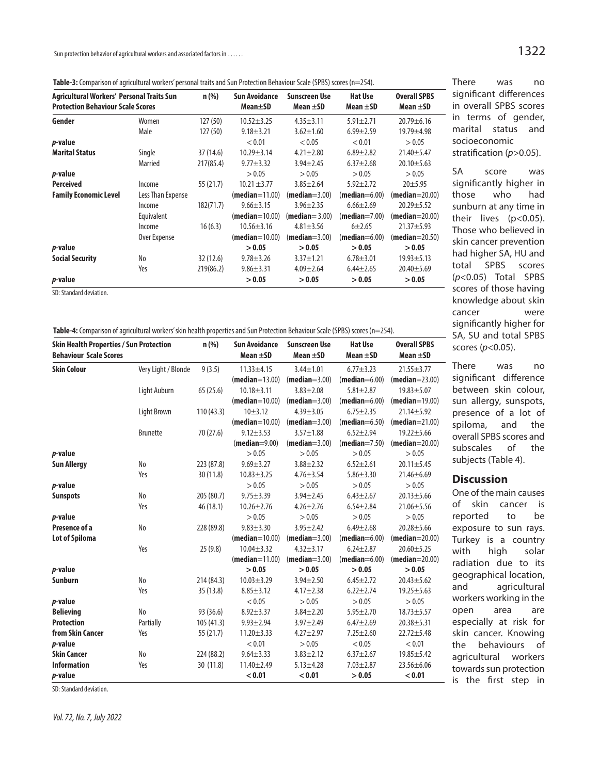Sun protection behavior of agricultural workers and associated factors in ......

Table-3: Comparison of agricultural workers' personal traits and Sun Protection Behaviour Scale (SPBS) scores (n=254).

| Agricultural Workers' Personal Traits Sun<br><b>Protection Behaviour Scale Scores</b> |                   | $n$ (%)   | <b>Sun Avoidance</b><br>Mean±SD | <b>Sunscreen Use</b><br>Mean $\pm$ SD | <b>Hat Use</b><br>Mean $\pm$ SD | <b>Overall SPBS</b><br>Mean $\pm$ SD |
|---------------------------------------------------------------------------------------|-------------------|-----------|---------------------------------|---------------------------------------|---------------------------------|--------------------------------------|
| Gender                                                                                | Women             | 127(50)   | $10.52 \pm 3.25$                | $4.35 \pm 3.11$                       | $5.91 \pm 2.71$                 | $20.79 \pm 6.16$                     |
|                                                                                       | Male              | 127(50)   | $9.18 \pm 3.21$                 | $3.62 \pm 1.60$                       | $6.99 \pm 2.59$                 | 19.79±4.98                           |
| <i>p</i> -value                                                                       |                   |           | < 0.01                          | < 0.05                                | < 0.01                          | > 0.05                               |
| <b>Marital Status</b>                                                                 | Single            | 37(14.6)  | $10.29 \pm 3.14$                | $4.21 \pm 2.80$                       | $6.89 \pm 2.82$                 | $21.40 + 5.47$                       |
|                                                                                       | Married           | 217(85.4) | $9.77 \pm 3.32$                 | $3.94 \pm 2.45$                       | $6.37 \pm 2.68$                 | $20.10 \pm 5.63$                     |
| <i>p</i> -value                                                                       |                   |           | > 0.05                          | > 0.05                                | > 0.05                          | > 0.05                               |
| <b>Perceived</b>                                                                      | Income            | 55 (21.7) | $10.21 \pm 3.77$                | $3.85 \pm 2.64$                       | $5.92 \pm 2.72$                 | $20 + 5.95$                          |
| <b>Family Economic Level</b>                                                          | Less Than Expense |           | $(median=11.00)$                | $(median=3.00)$                       | $(median=6.00)$                 | $(median=20.00)$                     |
|                                                                                       | Income            | 182(71.7) | $9.66 \pm 3.15$                 | $3.96 \pm 2.35$                       | $6.66 \pm 2.69$                 | $20.29 \pm 5.52$                     |
|                                                                                       | Equivalent        |           | $(median=10.00)$                | $(median=3.00)$                       | $(median=7.00)$                 | $(median=20.00)$                     |
|                                                                                       | Income            | 16(6.3)   | $10.56 \pm 3.16$                | $4.81 \pm 3.56$                       | $6+2.65$                        | $21.37 + 5.93$                       |
|                                                                                       | Over Expense      |           | ( <b>median</b> =10.00)         | $(median=3.00)$                       | $(median=6.00)$                 | $(median = 20.50)$                   |
| <i>p</i> -value                                                                       |                   |           | > 0.05                          | > 0.05                                | > 0.05                          | > 0.05                               |
| <b>Social Security</b>                                                                | No                | 32(12.6)  | $9.78 \pm 3.26$                 | $3.37 \pm 1.21$                       | $6.78 \pm 3.01$                 | $19.93 \pm 5.13$                     |
|                                                                                       | Yes               | 219(86.2) | $9.86 \pm 3.31$                 | $4.09 \pm 2.64$                       | $6.44 \pm 2.65$                 | $20.40 \pm 5.69$                     |
| <i>p</i> -value                                                                       |                   |           | > 0.05                          | > 0.05                                | > 0.05                          | > 0.05                               |

SD: Standard deviation.

|  |  | <b>Table-4:</b> Comparison of agricultural workers' skin health properties and Sun Protection Behaviour Scale (SPBS) scores (n=254). |
|--|--|--------------------------------------------------------------------------------------------------------------------------------------|
|  |  |                                                                                                                                      |

| <b>Skin Health Properties / Sun Protection</b><br><b>Behaviour Scale Scores</b> |                     | $n$ (%)    | <b>Sun Avoidance</b><br>Mean $\pm$ SD | <b>Sunscreen Use</b><br>Mean $\pm$ SD | <b>Hat Use</b><br>Mean $\pm$ SD | <b>Overall SPBS</b><br>Mean $\pm$ SD |
|---------------------------------------------------------------------------------|---------------------|------------|---------------------------------------|---------------------------------------|---------------------------------|--------------------------------------|
| <b>Skin Colour</b>                                                              | Very Light / Blonde | 9(3.5)     | $11.33 \pm 4.15$                      | $3.44 + 1.01$                         | $6.77 + 3.23$                   | $21.55 \pm 3.77$                     |
|                                                                                 |                     |            | $(median=13.00)$                      | $(median=3.00)$                       | $(median=6.00)$                 | $(median=23.00)$                     |
|                                                                                 | Light Auburn        | 65(25.6)   | $10.18 + 3.11$                        | $3.83 \pm 2.08$                       | $5.81 \pm 2.87$                 | $19.83 + 5.07$                       |
|                                                                                 |                     |            | $(median=10.00)$                      | $(median=3.00)$                       | $(median=6.00)$                 | $(median=19.00)$                     |
|                                                                                 | Light Brown         | 110(43.3)  | $10+3.12$                             | $4.39 + 3.05$                         | $6.75 + 2.35$                   | 21.14±5.92                           |
|                                                                                 |                     |            | $(median=10.00)$                      | $(median=3.00)$                       | $(median=6.50)$                 | $(median=21.00)$                     |
|                                                                                 | <b>Brunette</b>     | 70 (27.6)  | $9.12 \pm 3.53$                       | $3.57 + 1.88$                         | $6.52 \pm 2.94$                 | $19.22 \pm 5.66$                     |
|                                                                                 |                     |            | $(median=9.00)$                       | $(median=3.00)$                       | $(median=7.50)$                 | $(median=20.00)$                     |
| p-value                                                                         |                     |            | > 0.05                                | > 0.05                                | > 0.05                          | > 0.05                               |
| <b>Sun Allergy</b>                                                              | No                  | 223 (87.8) | $9.69 \pm 3.27$                       | $3.88 \pm 2.32$                       | $6.52 \pm 2.61$                 | $20.11 \pm 5.45$                     |
|                                                                                 | Yes                 | 30(11.8)   | $10.83 \pm 3.25$                      | $4.76 \pm 3.54$                       | $5.86 \pm 3.30$                 | $21.46 \pm 6.69$                     |
| p-value                                                                         |                     |            | > 0.05                                | > 0.05                                | > 0.05                          | > 0.05                               |
| <b>Sunspots</b>                                                                 | No                  | 205 (80.7) | $9.75 \pm 3.39$                       | $3.94 \pm 2.45$                       | $6.43 \pm 2.67$                 | $20.13 \pm 5.66$                     |
|                                                                                 | Yes                 | 46(18.1)   | $10.26 \pm 2.76$                      | $4.26 \pm 2.76$                       | $6.54 \pm 2.84$                 | $21.06 \pm 5.56$                     |
| p-value                                                                         |                     |            | > 0.05                                | > 0.05                                | > 0.05                          | > 0.05                               |
| Presence of a                                                                   | No                  | 228 (89.8) | $9.83 + 3.30$                         | $3.95 \pm 2.42$                       | $6.49 \pm 2.68$                 | $20.28 + 5.66$                       |
| <b>Lot of Spiloma</b>                                                           |                     |            | $(median=10.00)$                      | $(median=3.00)$                       | $(median=6.00)$                 | $(median=20.00)$                     |
|                                                                                 | Yes                 | 25(9.8)    | $10.04 \pm 3.32$                      | $4.32 \pm 3.17$                       | $6.24 + 2.87$                   | $20.60 + 5.25$                       |
|                                                                                 |                     |            | $(median=11.00)$                      | $(median=3.00)$                       | $(median=6.00)$                 | $(median=20.00)$                     |
| p-value                                                                         |                     |            | > 0.05                                | > 0.05                                | > 0.05                          | > 0.05                               |
| <b>Sunburn</b>                                                                  | No                  | 214 (84.3) | $10.03 \pm 3.29$                      | $3.94 \pm 2.50$                       | $6.45 \pm 2.72$                 | $20.43 \pm 5.62$                     |
|                                                                                 | Yes                 | 35 (13.8)  | $8.85 \pm 3.12$                       | $4.17 \pm 2.38$                       | $6.22 \pm 2.74$                 | $19.25 \pm 5.63$                     |
| p-value                                                                         |                     |            | < 0.05                                | > 0.05                                | > 0.05                          | > 0.05                               |
| <b>Believing</b>                                                                | No                  | 93 (36.6)  | $8.92 \pm 3.37$                       | $3.84 \pm 2.20$                       | $5.95 \pm 2.70$                 | $18.73 \pm 5.57$                     |
| <b>Protection</b>                                                               | Partially           | 105(41.3)  | $9.93 \pm 2.94$                       | $3.97 \pm 2.49$                       | $6.47 + 2.69$                   | 20.38±5.31                           |
| from Skin Cancer                                                                | Yes                 | 55(21.7)   | $11.20 \pm 3.33$                      | $4.27 \pm 2.97$                       | $7.25 \pm 2.60$                 | $22.72 + 5.48$                       |
| p-value                                                                         |                     |            | < 0.01                                | > 0.05                                | < 0.05                          | < 0.01                               |
| <b>Skin Cancer</b>                                                              | No                  | 224 (88.2) | $9.64 \pm 3.33$                       | $3.83 \pm 2.12$                       | $6.37 + 2.67$                   | $19.85 \pm 5.42$                     |
| <b>Information</b>                                                              | Yes                 | 30 (11.8)  | $11.40 \pm 2.49$                      | $5.13 + 4.28$                         | $7.03 \pm 2.87$                 | 23.56±6.06                           |
| p-value                                                                         |                     |            | < 0.01                                | < 0.01                                | > 0.05                          | < 0.01                               |

SD: Standard deviation.

There was no significant differences in overall SPBS scores in terms of gender, marital status and socioeconomic stratification (*p*>0.05). SA score was

significantly higher in those who had sunburn at any time in their lives (p<0.05). Those who believed in skin cancer prevention had higher SA, HU and total SPBS scores (*p*<0.05) Total SPBS scores of those having knowledge about skin cancer were significantly higher for SA, SU and total SPBS scores (*p*<0.05).

There was no significant difference between skin colour, sun allergy, sunspots, presence of a lot of spiloma, and the overall SPBS scores and subscales of the subjects (Table 4).

#### **Discussion**

One of the main causes of skin cancer is reported to be exposure to sun rays. Turkey is a country with high solar radiation due to its geographical location, and agricultural workers working in the open area are especially at risk for skin cancer. Knowing the behaviours of agricultural workers towards sun protection is the first step in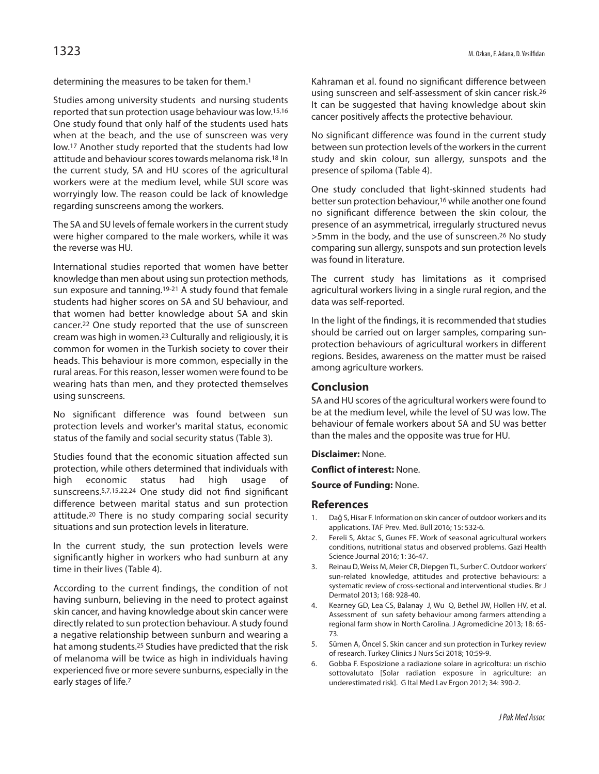determining the measures to be taken for them. 1

Studies among university students and nursing students reported that sun protection usage behaviour was low.<sup>15,16</sup> One study found that only half of the students used hats when at the beach, and the use of sunscreen was very low.17 Another study reported that the students had low attitude and behaviour scores towards melanoma risk.<sup>18</sup> In the current study, SA and HU scores of the agricultural workers were at the medium level, while SUI score was worryingly low. The reason could be lack of knowledge regarding sunscreens among the workers.

The SA and SU levels of female workers in the current study were higher compared to the male workers, while it was the reverse was HU.

International studies reported that women have better knowledge than men about using sun protection methods, sun exposure and tanning.<sup>19-21</sup> A study found that female students had higher scores on SA and SU behaviour, and that women had better knowledge about SA and skin cancer.22 One study reported that the use of sunscreen cream was high in women. <sup>23</sup> Culturally and religiously, it is common for women in the Turkish society to cover their heads. This behaviour is more common, especially in the rural areas. For this reason, lesser women were found to be wearing hats than men, and they protected themselves using sunscreens.

No significant difference was found between sun protection levels and worker's marital status, economic status of the family and social security status (Table 3).

Studies found that the economic situation affected sun protection, while others determined that individuals with high economic status had high usage of sunscreens.5,7,15,22,24 One study did not find significant difference between marital status and sun protection attitude.20 There is no study comparing social security situations and sun protection levels in literature.

In the current study, the sun protection levels were significantly higher in workers who had sunburn at any time in their lives (Table 4).

According to the current findings, the condition of not having sunburn, believing in the need to protect against skin cancer, and having knowledge about skin cancer were directly related to sun protection behaviour. A study found a negative relationship between sunburn and wearing a hat among students.<sup>25</sup> Studies have predicted that the risk of melanoma will be twice as high in individuals having experienced five or more severe sunburns, especially in the early stages of life.<sup>7</sup>

Kahraman et al. found no significant difference between using sunscreen and self-assessment of skin cancer risk. 26 It can be suggested that having knowledge about skin cancer positively affects the protective behaviour.

No significant difference was found in the current study between sun protection levels of the workersin the current study and skin colour, sun allergy, sunspots and the presence of spiloma (Table 4).

One study concluded that light-skinned students had better sun protection behaviour,<sup>16</sup> while another one found no significant difference between the skin colour, the presence of an asymmetrical, irregularly structured nevus >5mm in the body, and the use of sunscreen.26 No study comparing sun allergy, sunspots and sun protection levels was found in literature.

The current study has limitations as it comprised agricultural workers living in a single rural region, and the data was self-reported.

In the light of the findings, it is recommended that studies should be carried out on larger samples, comparing sunprotection behaviours of agricultural workers in different regions. Besides, awareness on the matter must be raised among agriculture workers.

#### **Conclusion**

SA and HU scores of the agricultural workers were found to be at the medium level, while the level of SU was low. The behaviour of female workers about SA and SU was better than the males and the opposite was true for HU.

**Disclaimer:** None.

**Conflict of interest:** None.

**Source of Funding:** None.

## **References**

- 1. Dağ S, Hisar F. Information on skin cancer of outdoor workers and its applications. TAF Prev. Med. Bull 2016; 15: 532-6.
- 2. Fereli S, Aktac S, Gunes FE. Work of seasonal agricultural workers conditions, nutritional status and observed problems. Gazi Health Science Journal 2016; 1: 36-47.
- 3. Reinau D, Weiss M, Meier CR, DiepgenTL, Surber C. Outdoor workers' sun-related knowledge, attitudes and protective behaviours: a systematic review of cross-sectional and interventional studies. Br J Dermatol 2013; 168: 928-40.
- Kearney GD, Lea CS, Balanay J, Wu Q, Bethel JW, Hollen HV, et al. Assessment of sun safety behaviour among farmers attending a regional farm show in North Carolina. J Agromedicine 2013; 18: 65- 73.
- 5. Sümen A, Öncel S. Skin cancer and sun protection in Turkey review of research. Turkey Clinics J Nurs Sci 2018; 10:59-9.
- 6. Gobba F. Esposizione a radiazione solare in agricoltura: un rischio sottovalutato [Solar radiation exposure in agriculture: an underestimated risk]. G Ital Med Lav Ergon 2012; 34: 390-2.